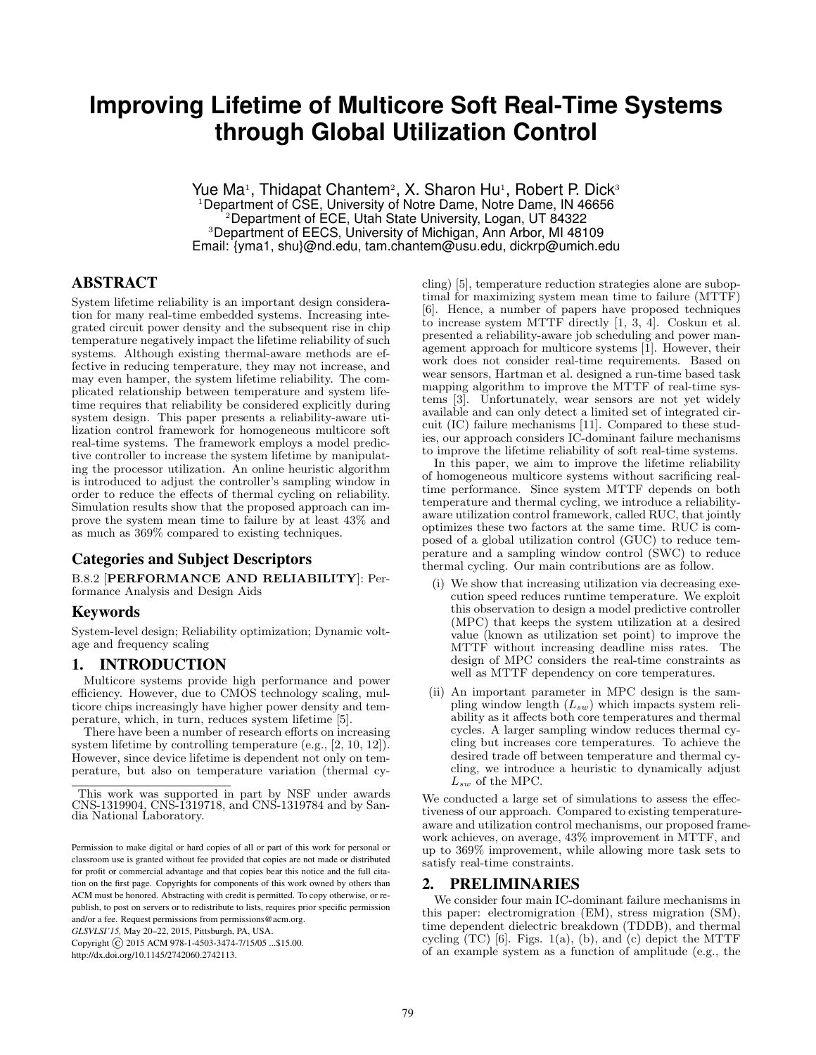# **Improving Lifetime of Multicore Soft Real-Time Systems through Global Utilization Control**

Yue Ma<sup>1</sup>, Thidapat Chantem<sup>2</sup>, X. Sharon Hu<sup>1</sup>, Robert P. Dick<sup>3</sup> Department of CSE, University of Notre Dame, Notre Dame, IN 46656 <sup>2</sup>Department of ECE, Utah State University, Logan, UT 84322 <sup>3</sup>Department of EECS, University of Michigan, Ann Arbor, MI 48109 Email: {yma1, shu}@nd.edu, tam.chantem@usu.edu, dickrp@umich.edu

# ABSTRACT

System lifetime reliability is an important design consideration for many real-time embedded systems. Increasing integrated circuit power density and the subsequent rise in chip temperature negatively impact the lifetime reliability of such systems. Although existing thermal-aware methods are effective in reducing temperature, they may not increase, and may even hamper, the system lifetime reliability. The complicated relationship between temperature and system lifetime requires that reliability be considered explicitly during system design. This paper presents a reliability-aware utilization control framework for homogeneous multicore soft real-time systems. The framework employs a model predictive controller to increase the system lifetime by manipulating the processor utilization. An online heuristic algorithm is introduced to adjust the controller's sampling window in order to reduce the effects of thermal cycling on reliability. Simulation results show that the proposed approach can improve the system mean time to failure by at least 43% and as much as 369% compared to existing techniques.

## Categories and Subject Descriptors

B.8.2 [PERFORMANCE AND RELIABILITY]: Performance Analysis and Design Aids

#### Keywords

System-level design; Reliability optimization; Dynamic voltage and frequency scaling

# 1. INTRODUCTION

Multicore systems provide high performance and power efficiency. However, due to CMOS technology scaling, multicore chips increasingly have higher power density and temperature, which, in turn, reduces system lifetime [5].

There have been a number of research efforts on increasing system lifetime by controlling temperature (e.g., [2, 10, 12]). However, since device lifetime is dependent not only on temperature, but also on temperature variation (thermal cy-

*GLSVLSI'15,* May 20–22, 2015, Pittsburgh, PA, USA.

Copyright (C) 2015 ACM 978-1-4503-3474-7/15/05 ... \$15.00. http://dx.doi.org/10.1145/2742060.2742113.

cling) [5], temperature reduction strategies alone are suboptimal for maximizing system mean time to failure (MTTF) [6]. Hence, a number of papers have proposed techniques to increase system MTTF directly [1, 3, 4]. Coskun et al. presented a reliability-aware job scheduling and power management approach for multicore systems [1]. However, their work does not consider real-time requirements. Based on wear sensors, Hartman et al. designed a run-time based task mapping algorithm to improve the MTTF of real-time systems [3]. Unfortunately, wear sensors are not yet widely available and can only detect a limited set of integrated circuit (IC) failure mechanisms [11]. Compared to these studies, our approach considers IC-dominant failure mechanisms to improve the lifetime reliability of soft real-time systems.

In this paper, we aim to improve the lifetime reliability of homogeneous multicore systems without sacrificing realtime performance. Since system MTTF depends on both temperature and thermal cycling, we introduce a reliabilityaware utilization control framework, called RUC, that jointly optimizes these two factors at the same time. RUC is composed of a global utilization control (GUC) to reduce temperature and a sampling window control (SWC) to reduce thermal cycling. Our main contributions are as follow.

- We show that increasing utilization via decreasing execution speed reduces runtime temperature. We exploit this observation to design a model predictive controller (MPC) that keeps the system utilization at a desired value (known as utilization set point) to improve the MTTF without increasing deadline miss rates. The design of MPC considers the real-time constraints as well as MTTF dependency on core temperatures.
- (ii) An important parameter in MPC design is the sampling window length  $(L_{sw})$  which impacts system reliability as it affects both core temperatures and thermal cycles. A larger sampling window reduces thermal cycling but increases core temperatures. To achieve the desired trade off between temperature and thermal cycling, we introduce a heuristic to dynamically adjust  $L_{sw}$  of the MPC.

We conducted a large set of simulations to assess the effectiveness of our approach. Compared to existing temperatureaware and utilization control mechanisms, our proposed framework achieves, on average, 43% improvement in MTTF, and up to 369% improvement, while allowing more task sets to satisfy real-time constraints.

### 2. PRELIMINARIES

We consider four main IC-dominant failure mechanisms in this paper: electromigration (EM), stress migration (SM), time dependent dielectric breakdown (TDDB), and thermal cycling  $(TC)$  [6]. Figs. 1(a), (b), and (c) depict the MTTF of an example system as a function of amplitude (e.g., the

This work was supported in part by NSF under awards CNS-1319904, CNS-1319718, and CNS-1319784 and by Sandia National Laboratory.

Permission to make digital or hard copies of all or part of this work for personal or classroom use is granted without fee provided that copies are not made or distributed for profit or commercial advantage and that copies bear this notice and the full citation on the first page. Copyrights for components of this work owned by others than ACM must be honored. Abstracting with credit is permitted. To copy otherwise, or republish, to post on servers or to redistribute to lists, requires prior specific permission and/or a fee. Request permissions from permissions@acm.org.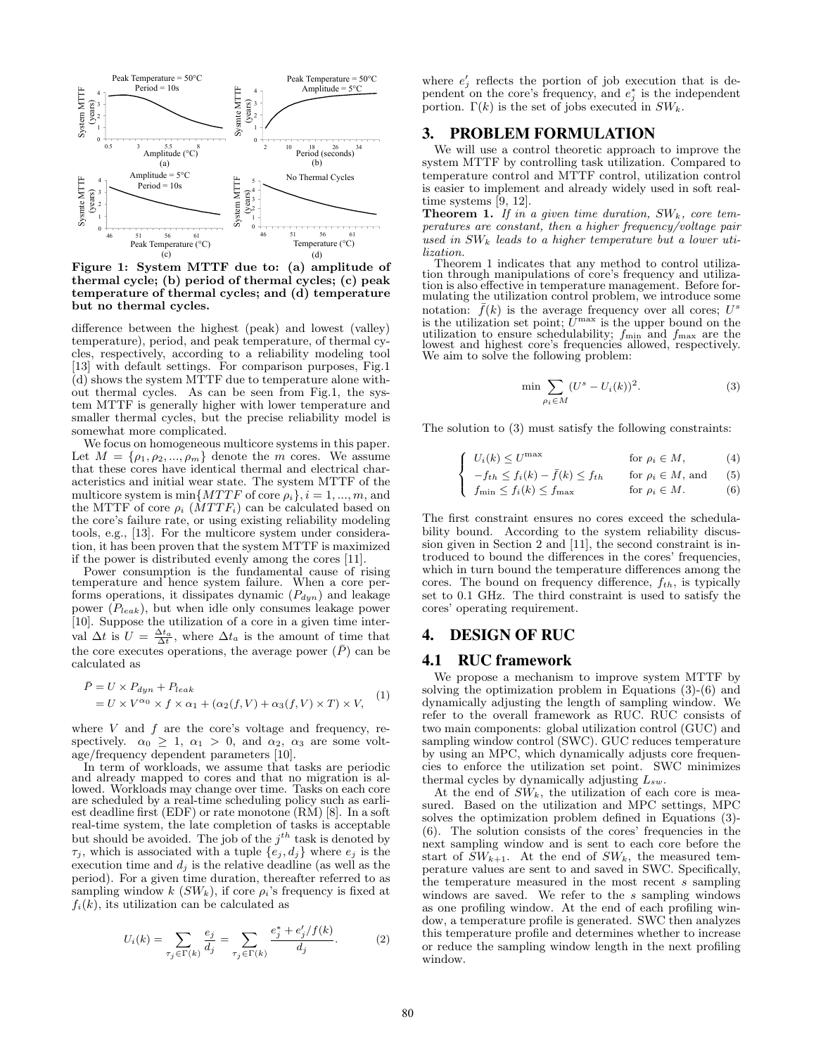

Figure 1: System MTTF due to: (a) amplitude of thermal cycle; (b) period of thermal cycles; (c) peak temperature of thermal cycles; and (d) temperature but no thermal cycles.

difference between the highest (peak) and lowest (valley) temperature), period, and peak temperature, of thermal cycles, respectively, according to a reliability modeling tool [13] with default settings. For comparison purposes, Fig.1 (d) shows the system MTTF due to temperature alone without thermal cycles. As can be seen from Fig.1, the system MTTF is generally higher with lower temperature and smaller thermal cycles, but the precise reliability model is somewhat more complicated.

We focus on homogeneous multicore systems in this paper. Let  $M = \{\rho_1, \rho_2, ..., \rho_m\}$  denote the m cores. We assume that these cores have identical thermal and electrical characteristics and initial wear state. The system MTTF of the multicore system is min $\{MTTF \text{ of core } \rho_i\}, i = 1, ..., m$ , and the MTTF of core  $\rho_i$  ( $MTTF_i$ ) can be calculated based on the core's failure rate, or using existing reliability modeling tools, e.g., [13]. For the multicore system under consideration, it has been proven that the system MTTF is maximized if the power is distributed evenly among the cores [11].

Power consumption is the fundamental cause of rising temperature and hence system failure. When a core performs operations, it dissipates dynamic  $(P_{dyn})$  and leakage power  $(P_{leak})$ , but when idle only consumes leakage power [10]. Suppose the utilization of a core in a given time interval  $\Delta t$  is  $U = \frac{\Delta t_a}{\Delta t}$ , where  $\Delta t_a$  is the amount of time that the core executes operations, the average power  $(\bar{P})$  can be calculated as

$$
\bar{P} = U \times P_{dyn} + P_{leak}
$$
  
= U \times V^{\alpha\_0} \times f \times \alpha\_1 + (\alpha\_2(f, V) + \alpha\_3(f, V) \times T) \times V, (1)

where  $V$  and  $f$  are the core's voltage and frequency, respectively.  $\alpha_0 \geq 1$ ,  $\alpha_1 > 0$ , and  $\alpha_2$ ,  $\alpha_3$  are some voltage/frequency dependent parameters [10].

In term of workloads, we assume that tasks are periodic and already mapped to cores and that no migration is allowed. Workloads may change over time. Tasks on each core are scheduled by a real-time scheduling policy such as earliest deadline first (EDF) or rate monotone (RM) [8]. In a soft real-time system, the late completion of tasks is acceptable but should be avoided. The job of the  $j^{th}$  task is denoted by  $\tau_j$ , which is associated with a tuple  $\{e_j, d_j\}$  where  $e_j$  is the execution time and  $d_j$  is the relative deadline (as well as the period). For a given time duration, thereafter referred to as sampling window  $k$  ( $SW_k$ ), if core  $\rho_i$ 's frequency is fixed at  $f_i(k)$ , its utilization can be calculated as

$$
U_i(k) = \sum_{\tau_j \in \Gamma(k)} \frac{e_j}{d_j} = \sum_{\tau_j \in \Gamma(k)} \frac{e_j^* + e_j'/f(k)}{d_j}.
$$
 (2)

where  $e'_{j}$  reflects the portion of job execution that is dependent on the core's frequency, and  $e_j^*$  is the independent portion.  $\Gamma(k)$  is the set of jobs executed in  $SW_k$ .

## 3. PROBLEM FORMULATION

We will use a control theoretic approach to improve the system MTTF by controlling task utilization. Compared to temperature control and MTTF control, utilization control is easier to implement and already widely used in soft realtime systems [9, 12].

**Theorem 1.** If in a given time duration,  $SW_k$ , core temperatures are constant, then a higher frequency/voltage pair used in  $SW_k$  leads to a higher temperature but a lower utilization.

Theorem 1 indicates that any method to control utilization through manipulations of core's frequency and utilization is also effective in temperature management. Before formulating the utilization control problem, we introduce some notation:  $\bar{f}(k)$  is the average frequency over all cores;  $U^s$ is the utilization set point;  $\bar{U}^{\max}$  is the upper bound on the utilization to ensure schedulability;  $f_{\min}$  and  $f_{\max}$  are the lowest and highest core's frequencies allowed, respectively. We aim to solve the following problem:

$$
\min \sum_{\rho_i \in M} (U^s - U_i(k))^2.
$$
\n(3)

The solution to (3) must satisfy the following constraints:

$$
\int_{-t}^{t} U_i(k) \leq U^{\max} \qquad \text{for } \rho_i \in M, \tag{4}
$$

$$
\left\{ \quad -f_{th} \le f_i(k) - \bar{f}(k) \le f_{th} \quad \text{for } \rho_i \in M, \text{ and } \quad (5)
$$

$$
\int f_{\min} \le f_i(k) \le f_{\max} \qquad \text{for } \rho_i \in M. \tag{6}
$$

The first constraint ensures no cores exceed the schedulability bound. According to the system reliability discussion given in Section 2 and [11], the second constraint is introduced to bound the differences in the cores' frequencies, which in turn bound the temperature differences among the cores. The bound on frequency difference,  $f_{th}$ , is typically set to 0.1 GHz. The third constraint is used to satisfy the cores' operating requirement.

# 4. DESIGN OF RUC

#### 4.1 RUC framework

We propose a mechanism to improve system MTTF by solving the optimization problem in Equations (3)-(6) and dynamically adjusting the length of sampling window. We refer to the overall framework as RUC. RUC consists of two main components: global utilization control (GUC) and sampling window control (SWC). GUC reduces temperature by using an MPC, which dynamically adjusts core frequencies to enforce the utilization set point. SWC minimizes thermal cycles by dynamically adjusting  $L_{sw}$ .

At the end of  $SW_k$ , the utilization of each core is measured. Based on the utilization and MPC settings, MPC solves the optimization problem defined in Equations (3)- (6). The solution consists of the cores' frequencies in the next sampling window and is sent to each core before the start of  $SW_{k+1}$ . At the end of  $SW_k$ , the measured temperature values are sent to and saved in SWC. Specifically, the temperature measured in the most recent s sampling windows are saved. We refer to the s sampling windows as one profiling window. At the end of each profiling window, a temperature profile is generated. SWC then analyzes this temperature profile and determines whether to increase or reduce the sampling window length in the next profiling window.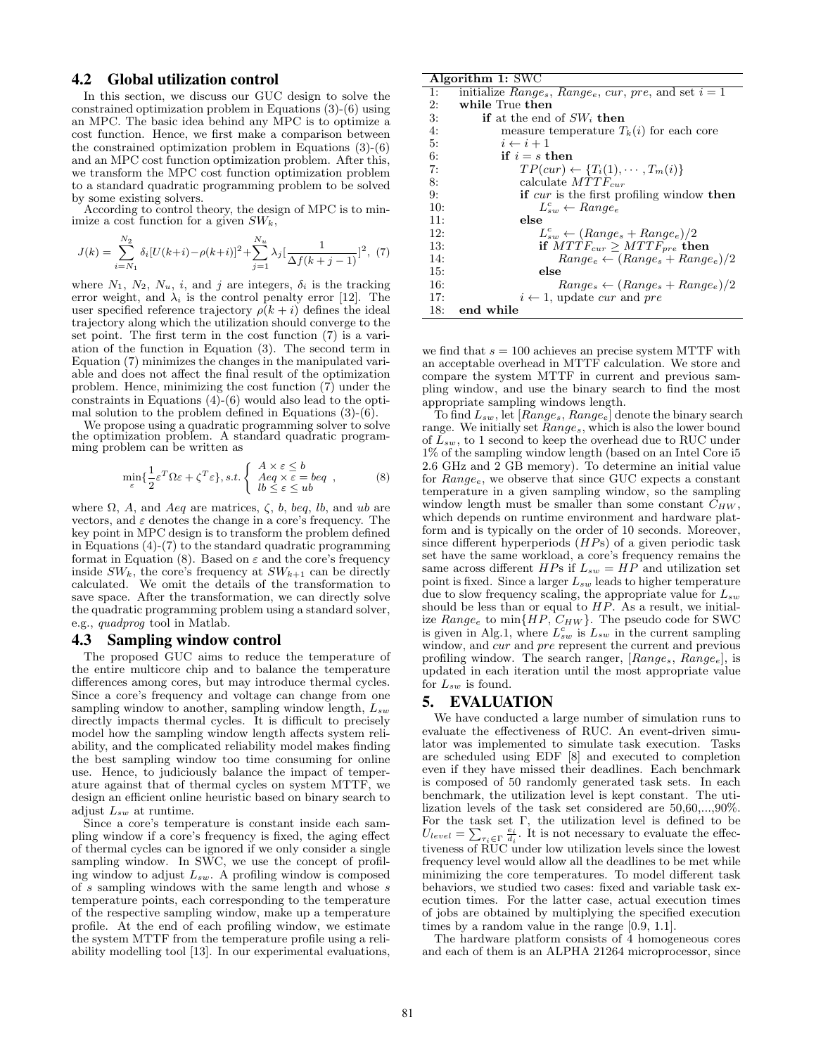## 4.2 Global utilization control

In this section, we discuss our GUC design to solve the constrained optimization problem in Equations (3)-(6) using an MPC. The basic idea behind any MPC is to optimize a cost function. Hence, we first make a comparison between the constrained optimization problem in Equations (3)-(6) and an MPC cost function optimization problem. After this, we transform the MPC cost function optimization problem to a standard quadratic programming problem to be solved by some existing solvers.

According to control theory, the design of MPC is to minimize a cost function for a given  $SW_k$ ,

$$
J(k) = \sum_{i=N_1}^{N_2} \delta_i \left[ U(k+i) - \rho(k+i) \right]^2 + \sum_{j=1}^{N_u} \lambda_j \left[ \frac{1}{\Delta f(k+j-1)} \right]^2, (7)
$$

where  $N_1$ ,  $N_2$ ,  $N_u$ , *i*, and *j* are integers,  $\delta_i$  is the tracking error weight, and  $\lambda_i$  is the control penalty error [12]. The user specified reference trajectory  $\rho(k+i)$  defines the ideal trajectory along which the utilization should converge to the set point. The first term in the cost function (7) is a variation of the function in Equation (3). The second term in Equation (7) minimizes the changes in the manipulated variable and does not affect the final result of the optimization problem. Hence, minimizing the cost function (7) under the constraints in Equations (4)-(6) would also lead to the optimal solution to the problem defined in Equations (3)-(6).

We propose using a quadratic programming solver to solve the optimization problem. A standard quadratic programming problem can be written as

$$
\min_{\varepsilon} \{ \frac{1}{2} \varepsilon^T \Omega \varepsilon + \zeta^T \varepsilon \}, s.t. \begin{cases} A \times \varepsilon \le b \\ Aeq \times \varepsilon = beq \\ lb \le \varepsilon \le ub \end{cases} , \tag{8}
$$

where  $\Omega$ , A, and Aeq are matrices,  $\zeta$ , b, beq, lb, and ub are vectors, and  $\varepsilon$  denotes the change in a core's frequency. The key point in MPC design is to transform the problem defined in Equations (4)-(7) to the standard quadratic programming format in Equation (8). Based on  $\varepsilon$  and the core's frequency inside  $SW_k$ , the core's frequency at  $SW_{k+1}$  can be directly calculated. We omit the details of the transformation to save space. After the transformation, we can directly solve the quadratic programming problem using a standard solver, e.g., quadprog tool in Matlab.

#### 4.3 Sampling window control

The proposed GUC aims to reduce the temperature of the entire multicore chip and to balance the temperature differences among cores, but may introduce thermal cycles. Since a core's frequency and voltage can change from one sampling window to another, sampling window length,  $L_{sw}$ directly impacts thermal cycles. It is difficult to precisely model how the sampling window length affects system reliability, and the complicated reliability model makes finding the best sampling window too time consuming for online use. Hence, to judiciously balance the impact of temperature against that of thermal cycles on system MTTF, we design an efficient online heuristic based on binary search to adjust  $L_{sw}$  at runtime.

Since a core's temperature is constant inside each sampling window if a core's frequency is fixed, the aging effect of thermal cycles can be ignored if we only consider a single sampling window. In SWC, we use the concept of profiling window to adjust  $L_{sw}$ . A profiling window is composed of  $\overline{s}$  sampling windows with the same length and whose  $\overline{s}$ temperature points, each corresponding to the temperature of the respective sampling window, make up a temperature profile. At the end of each profiling window, we estimate the system MTTF from the temperature profile using a reliability modelling tool [13]. In our experimental evaluations,

#### Algorithm 1: SWC

| 1:  | initialize $Range_s$ , $Range_e$ , $cur$ , $pre$ , and set $i = 1$ |
|-----|--------------------------------------------------------------------|
| 2:  | while True then                                                    |
| 3:  | <b>if</b> at the end of $SW_i$ then                                |
| 4:  | measure temperature $T_k(i)$ for each core                         |
| 5:  | $i \leftarrow i+1$                                                 |
| 6:  | if $i = s$ then                                                    |
| 7:  | $TP(cur) \leftarrow \{T_i(1), \cdots, T_m(i)\}\$                   |
| 8:  | calculate $MTTF_{cur}$                                             |
| 9:  | <b>if</b> cur is the first profiling window then                   |
| 10: | $L_{sw}^c \leftarrow Range_e$                                      |
| 11: | else                                                               |
| 12: | $L_{sw}^c \leftarrow (Range_s + Range_e)/2$                        |
| 13: | if $MTTF_{cur} > MTTF_{pre}$ then                                  |
| 14: | $Range_e \leftarrow (Range_s + Range_e)/2$                         |
| 15: | else                                                               |
| 16: | $Range_s \leftarrow (Range_s + Range_e)/2$                         |
| 17: | $i \leftarrow 1$ , update cur and pre                              |
| 18: | end while                                                          |

we find that  $s = 100$  achieves an precise system MTTF with an acceptable overhead in MTTF calculation. We store and compare the system MTTF in current and previous sampling window, and use the binary search to find the most appropriate sampling windows length.

To find  $L_{sw}$ , let [ $Range_s$ ,  $Range_e$ ] denote the binary search range. We initially set  $Range_s$ , which is also the lower bound of  $L_{sw}$ , to 1 second to keep the overhead due to RUC under 1% of the sampling window length (based on an Intel Core i5 2.6 GHz and 2 GB memory). To determine an initial value for  $Range_e$ , we observe that since GUC expects a constant temperature in a given sampling window, so the sampling window length must be smaller than some constant  $C_{HW}$ , which depends on runtime environment and hardware platform and is typically on the order of 10 seconds. Moreover, since different hyperperiods  $(HPs)$  of a given periodic task set have the same workload, a core's frequency remains the same across different HPs if  $L_{sw} = HP$  and utilization set point is fixed. Since a larger  $L_{sw}$  leads to higher temperature due to slow frequency scaling, the appropriate value for  $L_{sw}$ should be less than or equal to  $HP$ . As a result, we initialize  $Range_e$  to  $min\{HP, C_{HW}\}$ . The pseudo code for SWC is given in Alg.1, where  $L_{sw}^c$  is  $L_{sw}$  in the current sampling window, and *cur* and *pre* represent the current and previous profiling window. The search ranger,  $[Range_s, Range_e]$ , is updated in each iteration until the most appropriate value for  $L_{sw}$  is found.

#### 5. EVALUATION

We have conducted a large number of simulation runs to evaluate the effectiveness of RUC. An event-driven simulator was implemented to simulate task execution. Tasks are scheduled using EDF [8] and executed to completion even if they have missed their deadlines. Each benchmark is composed of 50 randomly generated task sets. In each benchmark, the utilization level is kept constant. The utilization levels of the task set considered are 50,60,...,90%. For the task set Γ, the utilization level is defined to be  $U_{level} = \sum_{\tau_i \in \Gamma} \frac{e_i}{d_i}$ . It is not necessary to evaluate the effectiveness of RUC under low utilization levels since the lowest frequency level would allow all the deadlines to be met while minimizing the core temperatures. To model different task behaviors, we studied two cases: fixed and variable task execution times. For the latter case, actual execution times of jobs are obtained by multiplying the specified execution times by a random value in the range [0.9, 1.1].

The hardware platform consists of 4 homogeneous cores and each of them is an ALPHA 21264 microprocessor, since